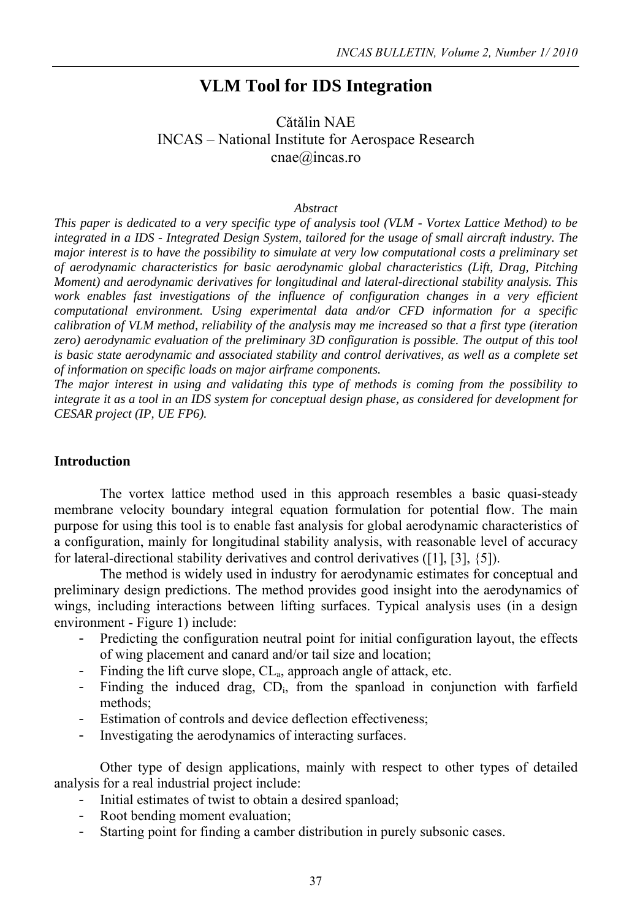# **VLM Tool for IDS Integration**

# Cǎtǎlin NAE INCAS – National Institute for Aerospace Research cnae@incas.ro DOI: 10.13111/2066-8201.2010.2.1.5

#### *Abstract*

*This paper is dedicated to a very specific type of analysis tool (VLM - Vortex Lattice Method) to be integrated in a IDS - Integrated Design System, tailored for the usage of small aircraft industry. The major interest is to have the possibility to simulate at very low computational costs a preliminary set of aerodynamic characteristics for basic aerodynamic global characteristics (Lift, Drag, Pitching Moment) and aerodynamic derivatives for longitudinal and lateral-directional stability analysis. This work enables fast investigations of the influence of configuration changes in a very efficient computational environment. Using experimental data and/or CFD information for a specific calibration of VLM method, reliability of the analysis may me increased so that a first type (iteration zero) aerodynamic evaluation of the preliminary 3D configuration is possible. The output of this tool is basic state aerodynamic and associated stability and control derivatives, as well as a complete set of information on specific loads on major airframe components.* 

*The major interest in using and validating this type of methods is coming from the possibility to integrate it as a tool in an IDS system for conceptual design phase, as considered for development for CESAR project (IP, UE FP6).*

#### **Introduction**

The vortex lattice method used in this approach resembles a basic quasi-steady membrane velocity boundary integral equation formulation for potential flow. The main purpose for using this tool is to enable fast analysis for global aerodynamic characteristics of a configuration, mainly for longitudinal stability analysis, with reasonable level of accuracy for lateral-directional stability derivatives and control derivatives ([1], [3], {5]).

The method is widely used in industry for aerodynamic estimates for conceptual and preliminary design predictions. The method provides good insight into the aerodynamics of wings, including interactions between lifting surfaces. Typical analysis uses (in a design environment - Figure 1) include:

- Predicting the configuration neutral point for initial configuration layout, the effects of wing placement and canard and/or tail size and location;
- Finding the lift curve slope,  $CL_a$ , approach angle of attack, etc.
- Finding the induced drag, CD<sub>i</sub>, from the spanload in conjunction with farfield methods;
- Estimation of controls and device deflection effectiveness;
- Investigating the aerodynamics of interacting surfaces.

Other type of design applications, mainly with respect to other types of detailed analysis for a real industrial project include:

- Initial estimates of twist to obtain a desired spanload;
- Root bending moment evaluation;
- Starting point for finding a camber distribution in purely subsonic cases.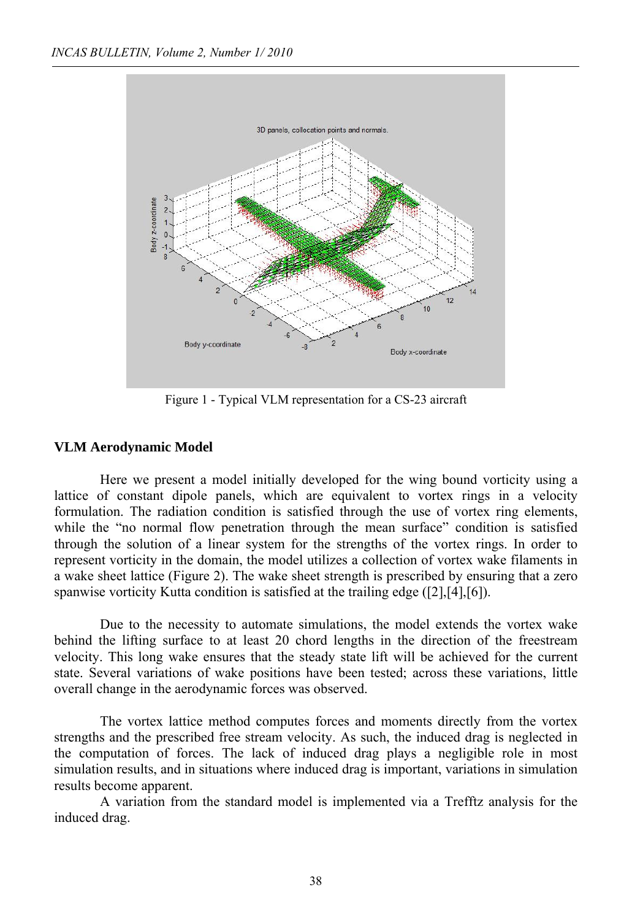

Figure 1 - Typical VLM representation for a CS-23 aircraft

### **VLM Aerodynamic Model**

Here we present a model initially developed for the wing bound vorticity using a lattice of constant dipole panels, which are equivalent to vortex rings in a velocity formulation. The radiation condition is satisfied through the use of vortex ring elements, while the "no normal flow penetration through the mean surface" condition is satisfied through the solution of a linear system for the strengths of the vortex rings. In order to represent vorticity in the domain, the model utilizes a collection of vortex wake filaments in a wake sheet lattice (Figure 2). The wake sheet strength is prescribed by ensuring that a zero spanwise vorticity Kutta condition is satisfied at the trailing edge ([2],[4],[6]).

 Due to the necessity to automate simulations, the model extends the vortex wake behind the lifting surface to at least 20 chord lengths in the direction of the freestream velocity. This long wake ensures that the steady state lift will be achieved for the current state. Several variations of wake positions have been tested; across these variations, little overall change in the aerodynamic forces was observed.

 The vortex lattice method computes forces and moments directly from the vortex strengths and the prescribed free stream velocity. As such, the induced drag is neglected in the computation of forces. The lack of induced drag plays a negligible role in most simulation results, and in situations where induced drag is important, variations in simulation results become apparent.

 A variation from the standard model is implemented via a Trefftz analysis for the induced drag.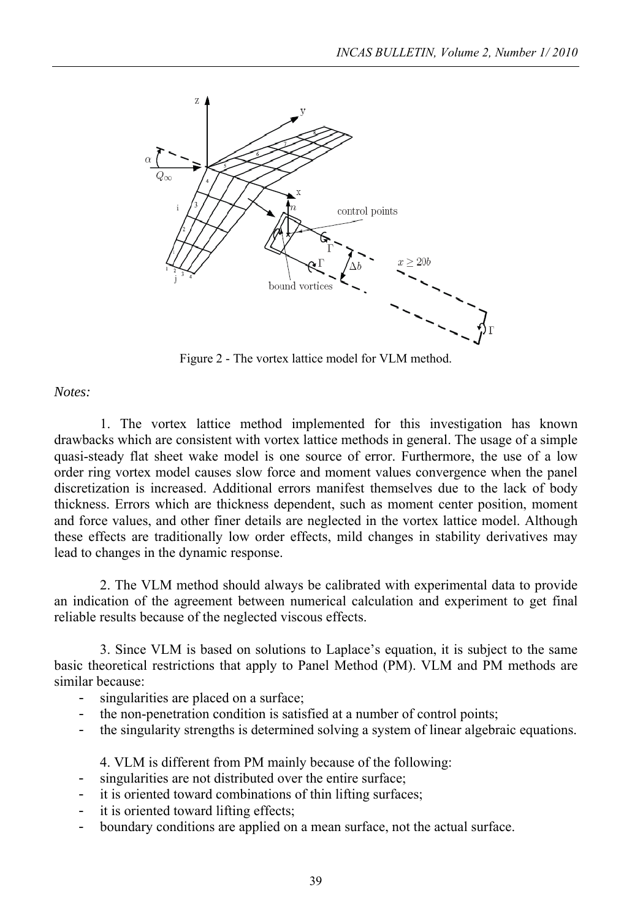

Figure 2 - The vortex lattice model for VLM method.

*Notes:* 

 1. The vortex lattice method implemented for this investigation has known drawbacks which are consistent with vortex lattice methods in general. The usage of a simple quasi-steady flat sheet wake model is one source of error. Furthermore, the use of a low order ring vortex model causes slow force and moment values convergence when the panel discretization is increased. Additional errors manifest themselves due to the lack of body thickness. Errors which are thickness dependent, such as moment center position, moment and force values, and other finer details are neglected in the vortex lattice model. Although these effects are traditionally low order effects, mild changes in stability derivatives may lead to changes in the dynamic response.

 2. The VLM method should always be calibrated with experimental data to provide an indication of the agreement between numerical calculation and experiment to get final reliable results because of the neglected viscous effects.

 3. Since VLM is based on solutions to Laplace's equation, it is subject to the same basic theoretical restrictions that apply to Panel Method (PM). VLM and PM methods are similar because:

- singularities are placed on a surface;
- the non-penetration condition is satisfied at a number of control points;
- the singularity strengths is determined solving a system of linear algebraic equations.

4. VLM is different from PM mainly because of the following:

- singularities are not distributed over the entire surface;
- it is oriented toward combinations of thin lifting surfaces;
- it is oriented toward lifting effects;
- boundary conditions are applied on a mean surface, not the actual surface.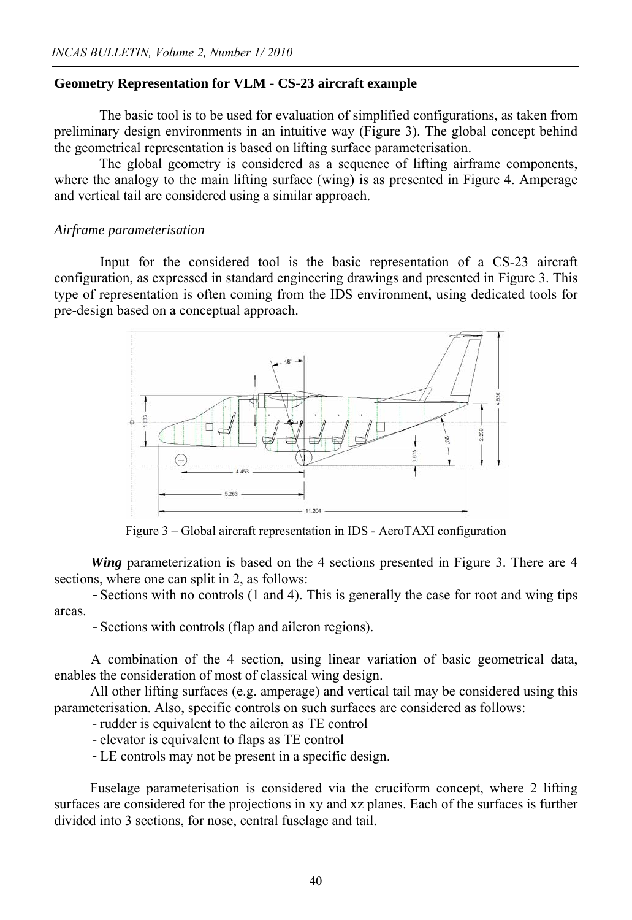#### **Geometry Representation for VLM - CS-23 aircraft example**

The basic tool is to be used for evaluation of simplified configurations, as taken from preliminary design environments in an intuitive way (Figure 3). The global concept behind the geometrical representation is based on lifting surface parameterisation.

The global geometry is considered as a sequence of lifting airframe components, where the analogy to the main lifting surface (wing) is as presented in Figure 4. Amperage and vertical tail are considered using a similar approach.

#### *Airframe parameterisation*

 Input for the considered tool is the basic representation of a CS-23 aircraft configuration, as expressed in standard engineering drawings and presented in Figure 3. This type of representation is often coming from the IDS environment, using dedicated tools for pre-design based on a conceptual approach.



Figure 3 – Global aircraft representation in IDS - AeroTAXI configuration

*Wing* parameterization is based on the 4 sections presented in Figure 3. There are 4 sections, where one can split in 2, as follows:

-Sections with no controls (1 and 4). This is generally the case for root and wing tips areas.

-Sections with controls (flap and aileron regions).

A combination of the 4 section, using linear variation of basic geometrical data, enables the consideration of most of classical wing design.

All other lifting surfaces (e.g. amperage) and vertical tail may be considered using this parameterisation. Also, specific controls on such surfaces are considered as follows:

-rudder is equivalent to the aileron as TE control

-elevator is equivalent to flaps as TE control

-LE controls may not be present in a specific design.

Fuselage parameterisation is considered via the cruciform concept, where 2 lifting surfaces are considered for the projections in xy and xz planes. Each of the surfaces is further divided into 3 sections, for nose, central fuselage and tail.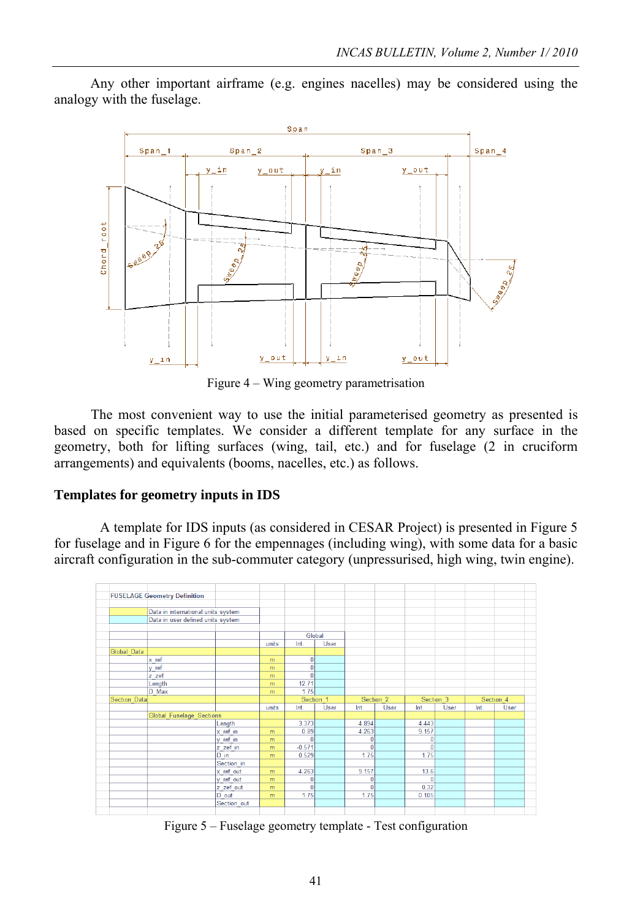Any other important airframe (e.g. engines nacelles) may be considered using the analogy with the fuselage.



Figure 4 – Wing geometry parametrisation

The most convenient way to use the initial parameterised geometry as presented is based on specific templates. We consider a different template for any surface in the geometry, both for lifting surfaces (wing, tail, etc.) and for fuselage (2 in cruciform arrangements) and equivalents (booms, nacelles, etc.) as follows.

### **Templates for geometry inputs in IDS**

 A template for IDS inputs (as considered in CESAR Project) is presented in Figure 5 for fuselage and in Figure 6 for the empennages (including wing), with some data for a basic aircraft configuration in the sub-commuter category (unpressurised, high wing, twin engine).



Figure 5 – Fuselage geometry template - Test configuration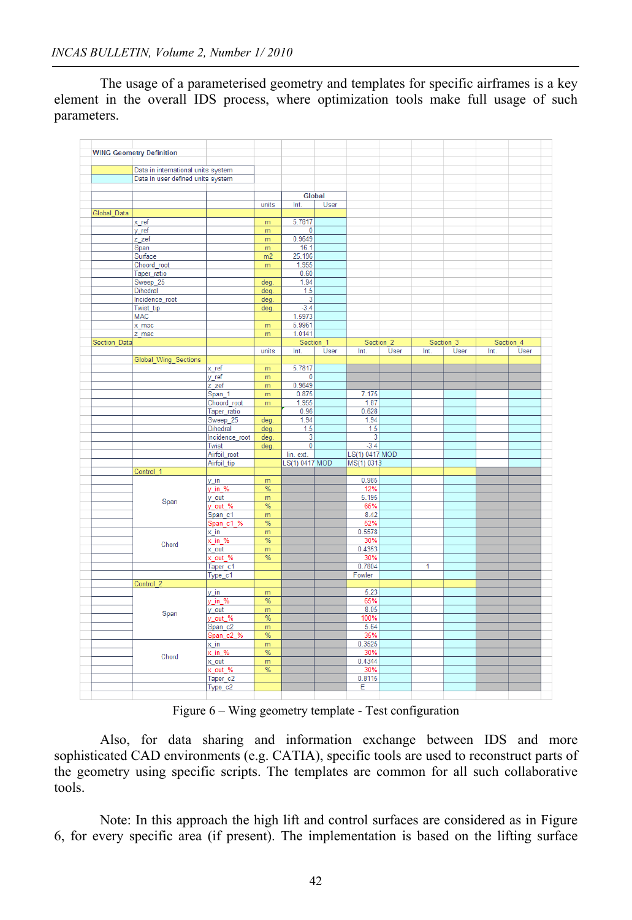The usage of a parameterised geometry and templates for specific airframes is a key element in the overall IDS process, where optimization tools make full usage of such parameters.

|                     | <b>WING Geometry Definition</b>    |                     |               |                         |           |                |           |      |             |      |             |  |
|---------------------|------------------------------------|---------------------|---------------|-------------------------|-----------|----------------|-----------|------|-------------|------|-------------|--|
|                     |                                    |                     |               |                         |           |                |           |      |             |      |             |  |
|                     | Data in international units system |                     |               |                         |           |                |           |      |             |      |             |  |
|                     |                                    |                     |               |                         |           |                |           |      |             |      |             |  |
|                     | Data in user defined units system  |                     |               |                         |           |                |           |      |             |      |             |  |
|                     |                                    |                     |               |                         |           |                |           |      |             |      |             |  |
|                     |                                    |                     |               |                         | Global    |                |           |      |             |      |             |  |
|                     |                                    |                     |               |                         |           |                |           |      |             |      |             |  |
|                     |                                    |                     | units         | Int.                    | User      |                |           |      |             |      |             |  |
| Global_Data         |                                    |                     |               |                         |           |                |           |      |             |      |             |  |
|                     | x ref                              |                     | m             | 5.7817                  |           |                |           |      |             |      |             |  |
|                     |                                    |                     |               |                         |           |                |           |      |             |      |             |  |
|                     | y ref                              |                     | m             | $\bf{0}$                |           |                |           |      |             |      |             |  |
|                     | z_zef                              |                     | m             | 0.9649                  |           |                |           |      |             |      |             |  |
|                     | Span                               |                     | m             | 16.1                    |           |                |           |      |             |      |             |  |
|                     |                                    |                     |               |                         |           |                |           |      |             |      |             |  |
|                     | Surface                            |                     | m2            | 25.196                  |           |                |           |      |             |      |             |  |
|                     | Choord_root                        |                     | m             | 1.955                   |           |                |           |      |             |      |             |  |
|                     | Taper ratio                        |                     |               | 0.60                    |           |                |           |      |             |      |             |  |
|                     |                                    |                     |               |                         |           |                |           |      |             |      |             |  |
|                     | Sweep <sub>25</sub>                |                     | deg           | 1.94                    |           |                |           |      |             |      |             |  |
|                     | <b>Dihedral</b>                    |                     | deg.          | 1.5                     |           |                |           |      |             |      |             |  |
|                     | Incidence root                     |                     | deg           | 3                       |           |                |           |      |             |      |             |  |
|                     |                                    |                     |               | $-3.4$                  |           |                |           |      |             |      |             |  |
|                     | Twist tip                          |                     | deg.          |                         |           |                |           |      |             |      |             |  |
|                     | <b>MAC</b>                         |                     |               | 1.5973                  |           |                |           |      |             |      |             |  |
|                     | x mac                              |                     | m             | 5.9961                  |           |                |           |      |             |      |             |  |
|                     |                                    |                     |               | 1.0141                  |           |                |           |      |             |      |             |  |
|                     | z mac                              |                     | m             |                         |           |                |           |      |             |      |             |  |
| <b>Section Data</b> |                                    |                     |               |                         | Section 1 |                | Section 2 |      | Section 3   |      | Section 4   |  |
|                     |                                    |                     | units         | Int.                    | User      | Int.           | User      | Int. | <b>User</b> | Int. | <b>User</b> |  |
|                     |                                    |                     |               |                         |           |                |           |      |             |      |             |  |
|                     | Global_Wing_Sections               |                     |               |                         |           |                |           |      |             |      |             |  |
|                     |                                    | $x$ ref             | m             | 5.7817                  |           |                |           |      |             |      |             |  |
|                     |                                    | v ref               | m             | 0                       |           |                |           |      |             |      |             |  |
|                     |                                    |                     |               | 0.9649                  |           |                |           |      |             |      |             |  |
|                     |                                    | z zef               | m             |                         |           |                |           |      |             |      |             |  |
|                     |                                    | Span_1              | m             | 0.875                   |           | 7.175          |           |      |             |      |             |  |
|                     |                                    | Choord root         | m             | 1.955                   |           | 1.87           |           |      |             |      |             |  |
|                     |                                    | Taper ratio         |               | 0.96                    |           | 0.628          |           |      |             |      |             |  |
|                     |                                    |                     |               |                         |           |                |           |      |             |      |             |  |
|                     |                                    | Sweep_25            | deg.          | 1.94                    |           | 1.94           |           |      |             |      |             |  |
|                     |                                    | Dihedral            | deg.          | 1.5                     |           | 1.5            |           |      |             |      |             |  |
|                     |                                    | Incidence root      | deg.          | 3                       |           | 3              |           |      |             |      |             |  |
|                     |                                    |                     |               |                         |           |                |           |      |             |      |             |  |
|                     |                                    | Twist               | deg.          | $\overline{\mathbf{0}}$ |           | $-3.4$         |           |      |             |      |             |  |
|                     |                                    | Airfoil_root        |               | lin. ext.               |           | LS(1) 0417 MOD |           |      |             |      |             |  |
|                     |                                    | Airfoil_tip         |               | LS(1) 0417 MOD          |           | MS(1) 0313     |           |      |             |      |             |  |
|                     |                                    |                     |               |                         |           |                |           |      |             |      |             |  |
|                     | Control 1                          |                     |               |                         |           |                |           |      |             |      |             |  |
|                     |                                    | y_in                | m             |                         |           | 0.985          |           |      |             |      |             |  |
|                     |                                    | $v$ in %            | $\%$          |                         |           | 12%            |           |      |             |      |             |  |
|                     |                                    |                     |               |                         |           | 5.195          |           |      |             |      |             |  |
|                     | Span                               | y out               | m             |                         |           |                |           |      |             |      |             |  |
|                     |                                    | y_out_%             | %             |                         |           | 65%            |           |      |             |      |             |  |
|                     |                                    | Span_c1             | m             |                         |           | 8.42           |           |      |             |      |             |  |
|                     |                                    | Span c1 %           | %             |                         |           | 52%            |           |      |             |      |             |  |
|                     |                                    |                     |               |                         |           |                |           |      |             |      |             |  |
|                     |                                    | x in                | m             |                         |           | 0.5578         |           |      |             |      |             |  |
|                     |                                    | x in %              | %             |                         |           | 30%            |           |      |             |      |             |  |
|                     | Chord                              | x out               | m             |                         |           | 0.4353         |           |      |             |      |             |  |
|                     |                                    |                     |               |                         |           |                |           |      |             |      |             |  |
|                     |                                    | x out %             | %             |                         |           | 30%            |           |      |             |      |             |  |
|                     |                                    | Taper <sub>c1</sub> |               |                         |           | 0.7804         |           | 1    |             |      |             |  |
|                     |                                    | Type c1             |               |                         |           | Fowler         |           |      |             |      |             |  |
|                     | Control 2                          |                     |               |                         |           |                |           |      |             |      |             |  |
|                     |                                    |                     |               |                         |           |                |           |      |             |      |             |  |
|                     |                                    | $y_in$              | m             |                         |           | 5.23           |           |      |             |      |             |  |
|                     |                                    | y_in_%              | $\frac{9}{6}$ |                         |           | 65%            |           |      |             |      |             |  |
|                     |                                    | y_out               | m             |                         |           | 8.05           |           |      |             |      |             |  |
|                     | Span                               |                     |               |                         |           |                |           |      |             |      |             |  |
|                     |                                    | $y$ out %           | %             |                         |           | 100%           |           |      |             |      |             |  |
|                     |                                    | Span_c2             | m             |                         |           | 5.64           |           |      |             |      |             |  |
|                     |                                    | Span c2 %           | %             |                         |           | 35%            |           |      |             |      |             |  |
|                     |                                    |                     |               |                         |           |                |           |      |             |      |             |  |
|                     |                                    | $x$ in              | m             |                         |           | 0.3525         |           |      |             |      |             |  |
|                     | Chord                              | $x \in \frac{9}{6}$ | $\frac{9}{6}$ |                         |           | 30%            |           |      |             |      |             |  |
|                     |                                    | x out               | m             |                         |           | 0.4344         |           |      |             |      |             |  |
|                     |                                    |                     |               |                         |           | 30%            |           |      |             |      |             |  |
|                     |                                    | x_out_%             | $\%$          |                         |           |                |           |      |             |      |             |  |
|                     |                                    | Taper <sub>c2</sub> |               |                         |           | 0.8115         |           |      |             |      |             |  |
|                     |                                    | Type c2             |               |                         |           | Ε              |           |      |             |      |             |  |
|                     |                                    |                     |               |                         |           |                |           |      |             |      |             |  |
|                     |                                    |                     |               |                         |           |                |           |      |             |      |             |  |

Figure 6 – Wing geometry template - Test configuration

 Also, for data sharing and information exchange between IDS and more sophisticated CAD environments (e.g. CATIA), specific tools are used to reconstruct parts of the geometry using specific scripts. The templates are common for all such collaborative tools.

 Note: In this approach the high lift and control surfaces are considered as in Figure 6, for every specific area (if present). The implementation is based on the lifting surface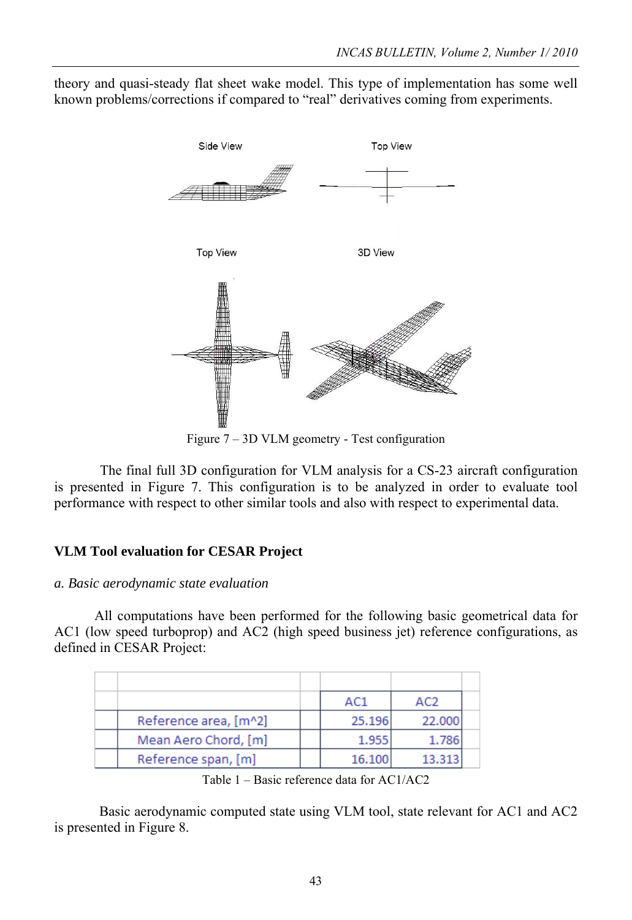theory and quasi-steady flat sheet wake model. This type of implementation has some well known problems/corrections if compared to "real" derivatives coming from experiments.



Figure 7 – 3D VLM geometry - Test configuration

 The final full 3D configuration for VLM analysis for a CS-23 aircraft configuration is presented in Figure 7. This configuration is to be analyzed in order to evaluate tool performance with respect to other similar tools and also with respect to experimental data.

# **VLM Tool evaluation for CESAR Project**

### *a. Basic aerodynamic state evaluation*

All computations have been performed for the following basic geometrical data for AC1 (low speed turboprop) and AC2 (high speed business jet) reference configurations, as defined in CESAR Project:

|                       | AC1    | AC <sub>2</sub> |  |
|-----------------------|--------|-----------------|--|
| Reference area, [m^2] | 25.196 | 22,000          |  |
| Mean Aero Chord, [m]  | 1.955  | 1.786           |  |
| Reference span, [m]   | 16.100 | 13.313          |  |

Table 1 – Basic reference data for AC1/AC2

Basic aerodynamic computed state using VLM tool, state relevant for AC1 and AC2 is presented in Figure 8.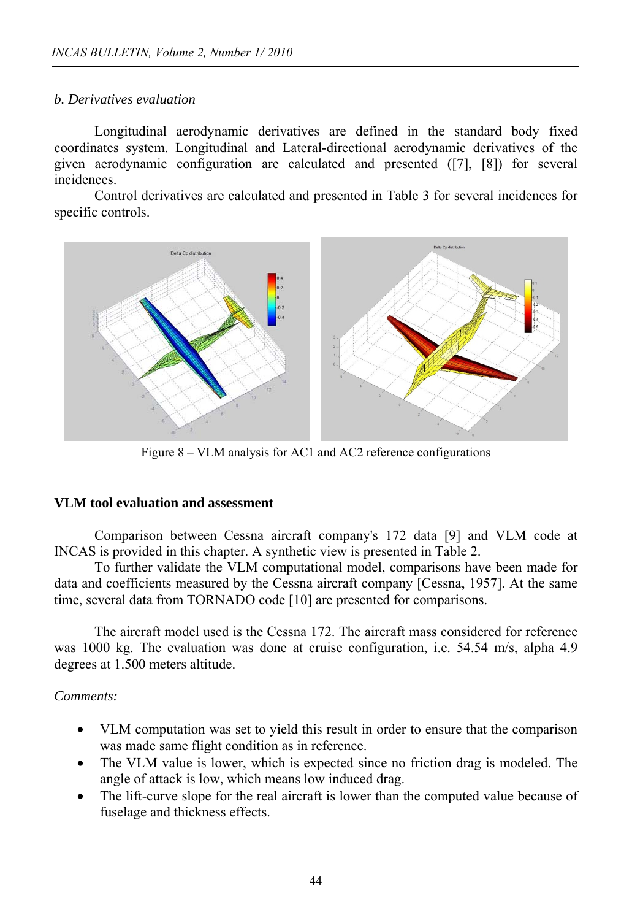### *b. Derivatives evaluation*

Longitudinal aerodynamic derivatives are defined in the standard body fixed coordinates system. Longitudinal and Lateral-directional aerodynamic derivatives of the given aerodynamic configuration are calculated and presented ([7], [8]) for several incidences.

Control derivatives are calculated and presented in Table 3 for several incidences for specific controls.



Figure 8 – VLM analysis for AC1 and AC2 reference configurations

### **VLM tool evaluation and assessment**

Comparison between Cessna aircraft company's 172 data [9] and VLM code at INCAS is provided in this chapter. A synthetic view is presented in Table 2.

To further validate the VLM computational model, comparisons have been made for data and coefficients measured by the Cessna aircraft company [Cessna, 1957]. At the same time, several data from TORNADO code [10] are presented for comparisons.

The aircraft model used is the Cessna 172. The aircraft mass considered for reference was 1000 kg. The evaluation was done at cruise configuration, i.e. 54.54 m/s, alpha 4.9 degrees at 1.500 meters altitude.

# *Comments:*

- VLM computation was set to yield this result in order to ensure that the comparison was made same flight condition as in reference.
- The VLM value is lower, which is expected since no friction drag is modeled. The angle of attack is low, which means low induced drag.
- The lift-curve slope for the real aircraft is lower than the computed value because of fuselage and thickness effects.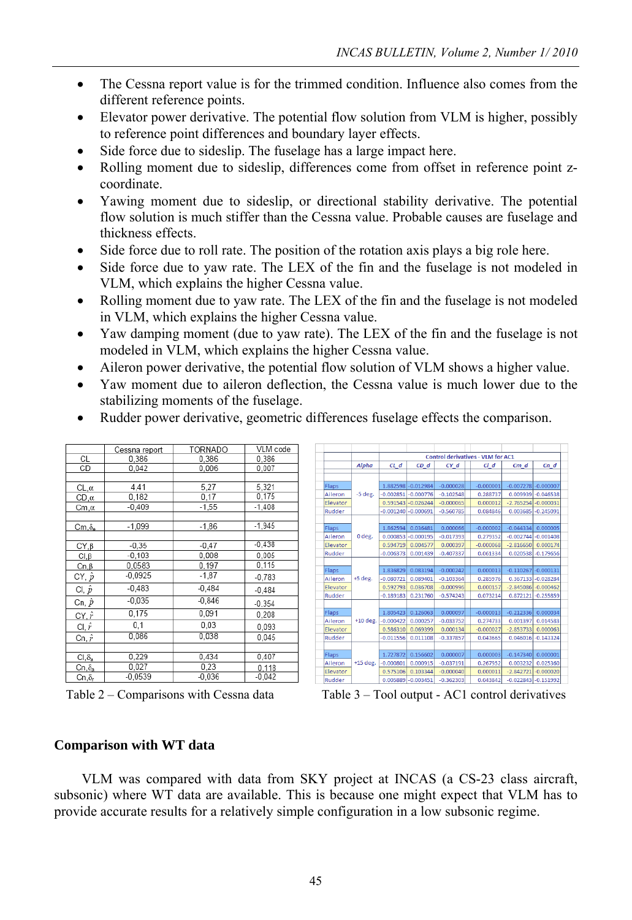- The Cessna report value is for the trimmed condition. Influence also comes from the different reference points.
- Elevator power derivative. The potential flow solution from VLM is higher, possibly to reference point differences and boundary layer effects.
- Side force due to sideslip. The fuselage has a large impact here.
- Rolling moment due to sideslip, differences come from offset in reference point zcoordinate.
- Yawing moment due to sideslip, or directional stability derivative. The potential flow solution is much stiffer than the Cessna value. Probable causes are fuselage and thickness effects.
- Side force due to roll rate. The position of the rotation axis plays a big role here.
- Side force due to yaw rate. The LEX of the fin and the fuselage is not modeled in VLM, which explains the higher Cessna value.
- Rolling moment due to yaw rate. The LEX of the fin and the fuselage is not modeled in VLM, which explains the higher Cessna value.
- Yaw damping moment (due to yaw rate). The LEX of the fin and the fuselage is not modeled in VLM, which explains the higher Cessna value.
- Aileron power derivative, the potential flow solution of VLM shows a higher value.
- Yaw moment due to aileron deflection, the Cessna value is much lower due to the stabilizing moments of the fuselage.

|                | Cessna report | TORNADO  | VLM code |
|----------------|---------------|----------|----------|
| СL             | 0.386         | 0.386    | 0,386    |
| CD             | 0.042         | 0.006    | 0,007    |
|                |               |          |          |
| $CL, \alpha$   | 4,41          | 5,27     | 5.321    |
| $CD, \alpha$   | 0.182         | 0.17     | 0,175    |
| Cm,α           | $-0,409$      | $-1,55$  | $-1.408$ |
|                |               |          |          |
| $Cm, \delta_a$ | $-1.099$      | $-1,86$  | $-1.945$ |
|                |               |          |          |
| CY, B          | $-0,35$       | $-0,47$  | $-0.438$ |
| $Cl, \beta$    | $-0.103$      | 0.008    | 0.005    |
| $Cn, \beta$    | 0.0583        | 0.197    | 0,115    |
| CY, $\hat{p}$  | $-0,0925$     | $-1,87$  | $-0.783$ |
| CI, p          | $-0,483$      | $-0.484$ | $-0.484$ |
| Cn, $\hat{p}$  | $-0,035$      | $-0.846$ | $-0.354$ |
| CY, $\hat{r}$  | 0.175         | 0.091    | 0,208    |
| CI, $\hat{r}$  | 0.1           | 0,03     | 0.093    |
| Cn, $\hat{r}$  | 0,086         | 0,038    | 0.045    |
|                |               |          |          |
| $Cl, \delta_a$ | 0.229         | 0.434    | 0,407    |
| $Cn, \delta_a$ | 0.027         | 0.23     | 0,118    |
| Cn S           | $-0.0539$     | -0.036   | $-0.042$ |

Rudder power derivative, geometric differences fuselage effects the comparison.

|       |          |              | <b>Control derivatives - VLM for AC1</b> |                     |             |  |             |                        |             |  |
|-------|----------|--------------|------------------------------------------|---------------------|-------------|--|-------------|------------------------|-------------|--|
|       |          | <b>Alpha</b> | $CL$ $d$                                 | $CD$ $d$            | $CY$ $d$    |  | $cl$ $d$    | $Cm$ $d$               | $Cn_d$      |  |
|       |          |              |                                          |                     |             |  |             |                        |             |  |
| Flaps |          |              |                                          | 1.882598 - 0.012984 | $-0.000028$ |  | $-0.000001$ | $-0.007278 - 0.000007$ |             |  |
|       | Aileron  | $-5$ deg.    | $-0.002851$                              | $-0.000776$         | $-0.102548$ |  | 0.288737    | 0.009939               | $-0.046538$ |  |
|       | Elevator |              | 0.591543                                 | $-0.026244$         | $-0.000065$ |  | 0.000012    | $-2.765254$            | $-0.000031$ |  |
|       | Rudder   |              | $-0.001240$                              | $-0.000691$         | $-0.560785$ |  | 0.084846    | 0.003685               | $-0.245091$ |  |
|       |          |              |                                          |                     |             |  |             |                        |             |  |
| Flaps |          |              | 1.862594                                 | 0.036481            | 0.000066    |  | $-0.000002$ | $-0.044334$            | 0.000005    |  |
|       | Aileron  | 0 deg.       | 0.000853                                 | $-0.000195$         | $-0.017393$ |  | 0.279352    | $-0.002744$            | $-0.001408$ |  |
|       | Elevator |              | 0.594719                                 | 0.004577            | 0.000397    |  | $-0.000068$ | $-2.816650$            | 0.000174    |  |
|       | Rudder   |              | $-0.006373$                              | 0.001439            | $-0.407337$ |  | 0.061334    | 0.020538               | $-0.179656$ |  |
|       |          |              |                                          |                     |             |  |             |                        |             |  |
| Flaps |          |              | 1.836829                                 | 0.083194            | $-0.000242$ |  | 0.000013    | $-0.110267$            | $-0.000131$ |  |
|       | Aileron  | $+5$ deg.    | $-0.080721$                              | 0.089401            | $-0.103364$ |  | 0.285976    | 0.367133               | $-0.028284$ |  |
|       | Elevator |              | 0.592793                                 | 0.036708            | $-0.000996$ |  | 0.000157    | $-2.845086$            | $-0.000462$ |  |
|       | Rudder   |              | $-0.189183$                              | 0.231760            | $-0.574243$ |  | 0.073214    | 0.872121               | $-0.255859$ |  |
|       |          |              |                                          |                     |             |  |             |                        |             |  |
| Flaps |          |              | 1.805423                                 | 0.126063            | 0.000097    |  | $-0.000013$ | $-0.212336$            | 0.000034    |  |
|       | Aileron  | $+10$ deg.   | $-0.000422$                              | 0.000257            | $-0.033752$ |  | 0.274733    | 0.001397               | 0.014583    |  |
|       | Elevator |              | 0.586310                                 | 0.069399            | 0.000134    |  | $-0.000027$ | $-2.853733$            | 0.000063    |  |
|       | Rudder   |              | $-0.011556$                              | 0.011108            | $-0.337857$ |  | 0.043665    | 0.046016               | $-0.143324$ |  |
|       |          |              |                                          |                     |             |  |             |                        |             |  |
| Flaps |          | $+15$ deg.   | 1.727872                                 | 0.156602            | 0.000007    |  | 0.000003    | $-0.147340$            | 0.000001    |  |
|       | Aileron  |              | $-0.000801$                              | 0.000915            | $-0.037191$ |  | 0.267952    | 0.003232               | 0.025360    |  |
|       | Elevator |              | 0.575106                                 | 0.103344            | $-0.000040$ |  | 0.000011    | $-2.842721$            | $-0.000020$ |  |
|       | Rudder   |              | 0.005889                                 | $-0.003451$         | $-0.362303$ |  | 0.043842    | $-0.022843$            | $-0.151992$ |  |

Table 2 – Comparisons with Cessna data Table 3 – Tool output - AC1 control derivatives

#### **Comparison with WT data**

VLM was compared with data from SKY project at INCAS (a CS-23 class aircraft, subsonic) where WT data are available. This is because one might expect that VLM has to provide accurate results for a relatively simple configuration in a low subsonic regime.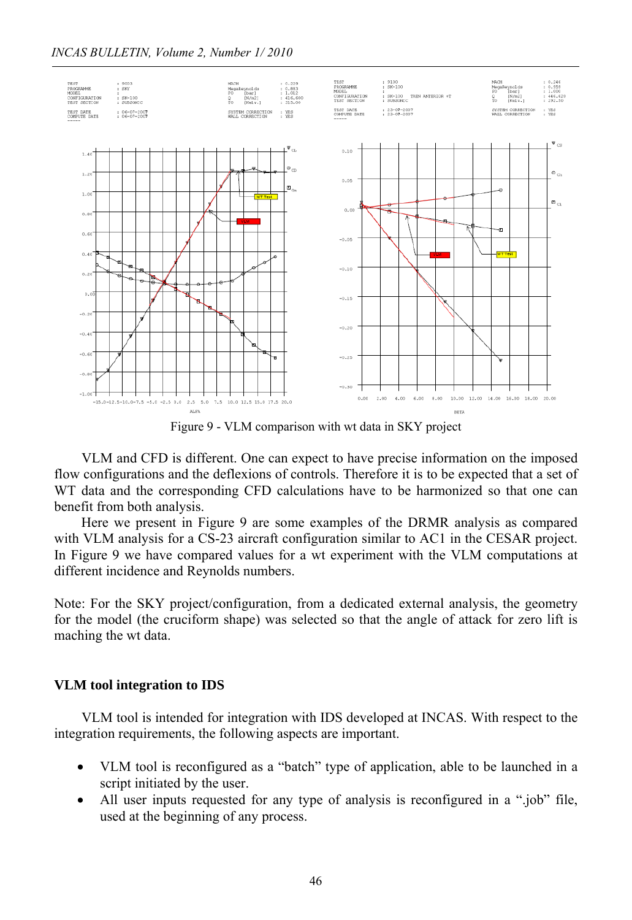

Figure 9 - VLM comparison with wt data in SKY project

VLM and CFD is different. One can expect to have precise information on the imposed flow configurations and the deflexions of controls. Therefore it is to be expected that a set of WT data and the corresponding CFD calculations have to be harmonized so that one can benefit from both analysis.

Here we present in Figure 9 are some examples of the DRMR analysis as compared with VLM analysis for a CS-23 aircraft configuration similar to AC1 in the CESAR project. In Figure 9 we have compared values for a wt experiment with the VLM computations at different incidence and Reynolds numbers.

Note: For the SKY project/configuration, from a dedicated external analysis, the geometry for the model (the cruciform shape) was selected so that the angle of attack for zero lift is maching the wt data.

#### **VLM tool integration to IDS**

VLM tool is intended for integration with IDS developed at INCAS. With respect to the integration requirements, the following aspects are important.

- VLM tool is reconfigured as a "batch" type of application, able to be launched in a script initiated by the user.
- All user inputs requested for any type of analysis is reconfigured in a ".job" file, used at the beginning of any process.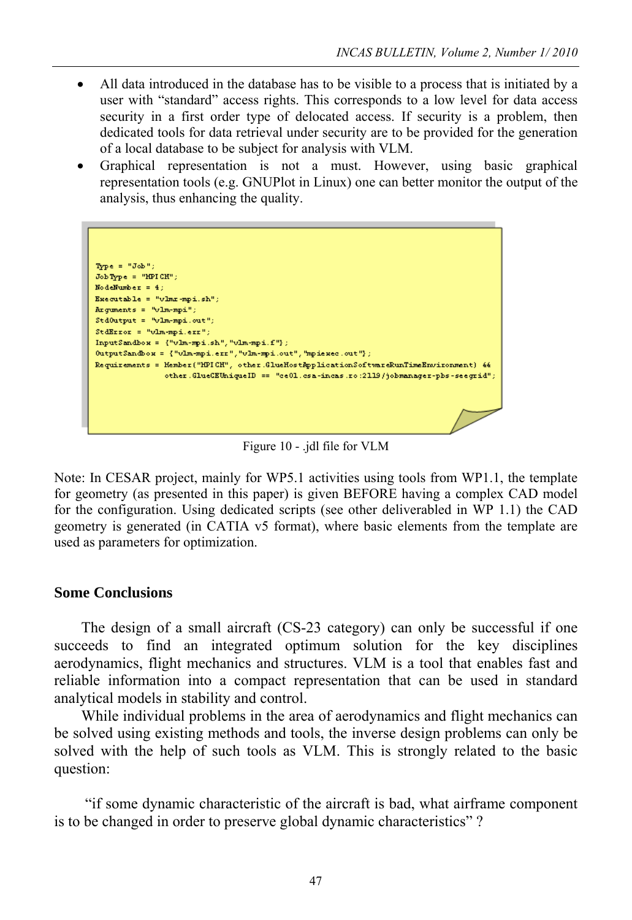- All data introduced in the database has to be visible to a process that is initiated by a user with "standard" access rights. This corresponds to a low level for data access security in a first order type of delocated access. If security is a problem, then dedicated tools for data retrieval under security are to be provided for the generation of a local database to be subject for analysis with VLM.
- Graphical representation is not a must. However, using basic graphical representation tools (e.g. GNUPlot in Linux) one can better monitor the output of the analysis, thus enhancing the quality.

 $\texttt{Type} = \texttt{"Job"};$  $\mathrm{Job\,Type} = \mathrm{``HPI\,CH''}$  ; NodeNumber =  $4$ ; Executable = "vlmr-mpi.sh";  $\texttt{Argments = "vlm-mpi");}$  $\mathtt{StdOutput} = \texttt{"vlm-mpi.out"};$ StdError = "vlm-mpi.err";  $\texttt{InputS} \texttt{and} \texttt{box} = \{ \texttt{``vlm-mpi.sh''}, \texttt{``vlm-mpi.f''} \}$  ${\tt OutputSandbow = \{ "vlm-mpi, err", "vlm-mpi.out", "mpiexec.out");}$ Requirements = Hember("HPICH", other.GlueHostRpplicationSoftwareRunTimeEnvironment) && other.GlueCEUniqueID == "ce01.csa-incas.ro:2119/jobmanager-pbs-seegrid";

Figure 10 - .jdl file for VLM

Note: In CESAR project, mainly for WP5.1 activities using tools from WP1.1, the template for geometry (as presented in this paper) is given BEFORE having a complex CAD model for the configuration. Using dedicated scripts (see other deliverabled in WP 1.1) the CAD geometry is generated (in CATIA v5 format), where basic elements from the template are used as parameters for optimization.

# **Some Conclusions**

The design of a small aircraft (CS-23 category) can only be successful if one succeeds to find an integrated optimum solution for the key disciplines aerodynamics, flight mechanics and structures. VLM is a tool that enables fast and reliable information into a compact representation that can be used in standard analytical models in stability and control.

While individual problems in the area of aerodynamics and flight mechanics can be solved using existing methods and tools, the inverse design problems can only be solved with the help of such tools as VLM. This is strongly related to the basic question:

 "if some dynamic characteristic of the aircraft is bad, what airframe component is to be changed in order to preserve global dynamic characteristics" ?